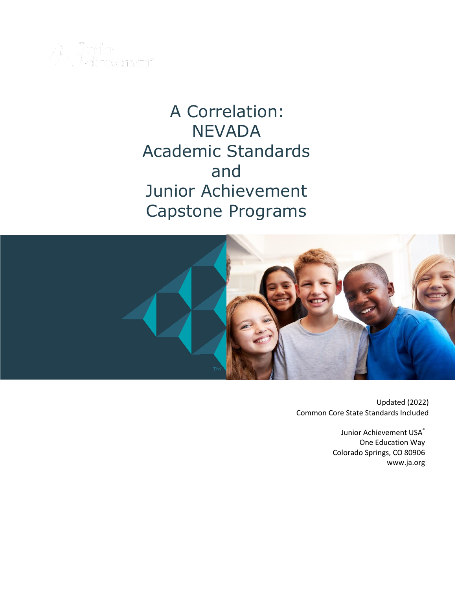

# A Correlation: **NEVADA** Academic Standards and Junior Achievement Capstone Programs



 Updated (2022) Common Core State Standards Included

> Junior Achievement USA® One Education Way Colorado Springs, CO 80906 [www.ja.org](http://www.ja.org/)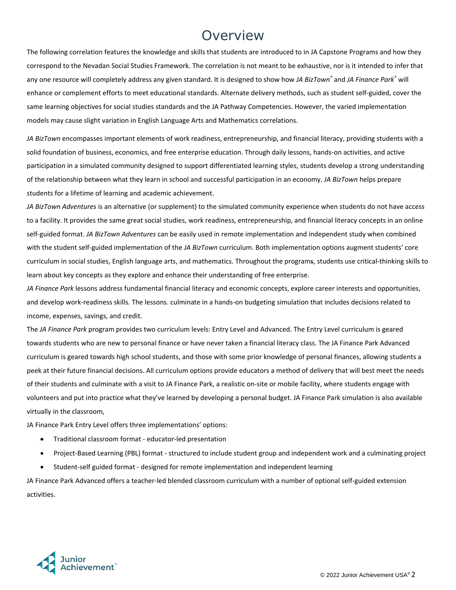#### Overview

The following correlation features the knowledge and skills that students are introduced to in JA Capstone Programs and how they correspond to the Nevadan Social Studies Framework. The correlation is not meant to be exhaustive, nor is it intended to infer that any one resource will completely address any given standard. It is designed to show how *JA BizTown®* and *JA Finance Park®* will enhance or complement efforts to meet educational standards. Alternate delivery methods, such as student self-guided, cover the same learning objectives for social studies standards and the JA Pathway Competencies. However, the varied implementation models may cause slight variation in English Language Arts and Mathematics correlations.

*JA BizTown* encompasses important elements of work readiness, entrepreneurship, and financial literacy, providing students with a solid foundation of business, economics, and free enterprise education. Through daily lessons, hands-on activities, and active participation in a simulated community designed to support differentiated learning styles, students develop a strong understanding of the relationship between what they learn in school and successful participation in an economy. *JA BizTown* helps prepare students for a lifetime of learning and academic achievement.

*JA BizTown Adventures* is an alternative (or supplement) to the simulated community experience when students do not have access to a facility. It provides the same great social studies, work readiness, entrepreneurship, and financial literacy concepts in an online self-guided format. *JA BizTown Adventures* can be easily used in remote implementation and independent study when combined with the student self-guided implementation of the *JA BizTown* curriculum. Both implementation options augment students' core curriculum in social studies, English language arts, and mathematics. Throughout the programs, students use critical-thinking skills to learn about key concepts as they explore and enhance their understanding of free enterprise.

*JA Finance Park* lessons address fundamental financial literacy and economic concepts, explore career interests and opportunities, and develop work-readiness skills. The lessons. culminate in a hands-on budgeting simulation that includes decisions related to income, expenses, savings, and credit.

The *JA Finance Park* program provides two curriculum levels: Entry Level and Advanced. The Entry Level curriculum is geared towards students who are new to personal finance or have never taken a financial literacy class. The JA Finance Park Advanced curriculum is geared towards high school students, and those with some prior knowledge of personal finances, allowing students a peek at their future financial decisions. All curriculum options provide educators a method of delivery that will best meet the needs of their students and culminate with a visit to JA Finance Park, a realistic on-site or mobile facility, where students engage with volunteers and put into practice what they've learned by developing a personal budget. JA Finance Park simulation is also available virtually in the classroom,

JA Finance Park Entry Level offers three implementations' options:

- **Traditional classroom format educator-led presentation**
- Project-Based Learning (PBL) format structured to include student group and independent work and a culminating project
- Student-self guided format designed for remote implementation and independent learning

JA Finance Park Advanced offers a teacher-led blended classroom curriculum with a number of optional self-guided extension activities.

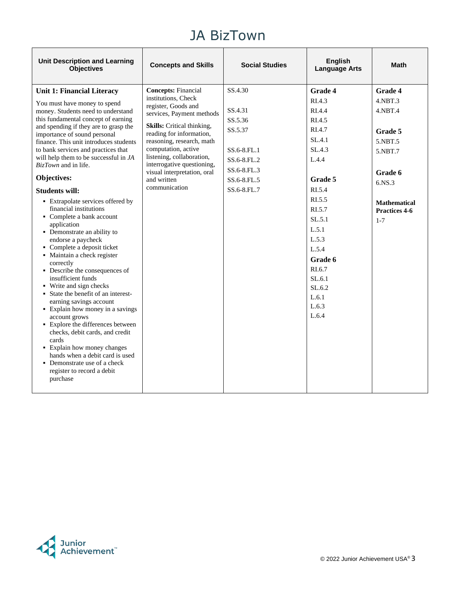| <b>Unit Description and Learning</b><br><b>Objectives</b>                                                                                                                                                                                                                                                                                                                                                                                                                                                                                                                                                                                                                                                                                                                                                                                                                                                                                                                                                                        | <b>Concepts and Skills</b>                                                                                                                                                                                                                                                                                                                    | <b>Social Studies</b>                                                                                               | English<br><b>Language Arts</b>                                                                                                                                                                                               | <b>Math</b>                                                                                                                                               |
|----------------------------------------------------------------------------------------------------------------------------------------------------------------------------------------------------------------------------------------------------------------------------------------------------------------------------------------------------------------------------------------------------------------------------------------------------------------------------------------------------------------------------------------------------------------------------------------------------------------------------------------------------------------------------------------------------------------------------------------------------------------------------------------------------------------------------------------------------------------------------------------------------------------------------------------------------------------------------------------------------------------------------------|-----------------------------------------------------------------------------------------------------------------------------------------------------------------------------------------------------------------------------------------------------------------------------------------------------------------------------------------------|---------------------------------------------------------------------------------------------------------------------|-------------------------------------------------------------------------------------------------------------------------------------------------------------------------------------------------------------------------------|-----------------------------------------------------------------------------------------------------------------------------------------------------------|
| <b>Unit 1: Financial Literacy</b><br>You must have money to spend<br>money. Students need to understand<br>this fundamental concept of earning<br>and spending if they are to grasp the<br>importance of sound personal<br>finance. This unit introduces students<br>to bank services and practices that<br>will help them to be successful in JA<br><i>BizTown</i> and in life.<br>Objectives:<br><b>Students will:</b><br>• Extrapolate services offered by<br>financial institutions<br>• Complete a bank account<br>application<br>• Demonstrate an ability to<br>endorse a paycheck<br>• Complete a deposit ticket<br>· Maintain a check register<br>correctly<br>• Describe the consequences of<br>insufficient funds<br>• Write and sign checks<br>• State the benefit of an interest-<br>earning savings account<br>• Explain how money in a savings<br>account grows<br>• Explore the differences between<br>checks, debit cards, and credit<br>cards<br>• Explain how money changes<br>hands when a debit card is used | <b>Concepts: Financial</b><br>institutions, Check<br>register, Goods and<br>services, Payment methods<br>Skills: Critical thinking,<br>reading for information,<br>reasoning, research, math<br>computation, active<br>listening, collaboration,<br>interrogative questioning,<br>visual interpretation, oral<br>and written<br>communication | SS.4.30<br>SS.4.31<br>SS.5.36<br>SS.5.37<br>SS.6-8.FL.1<br>SS.6-8.FL.2<br>SS.6-8.FL.3<br>SS.6-8.FL.5<br>SS.6-8.FL.7 | Grade 4<br>RIA.3<br>RI.4.4<br>RI.4.5<br>RI.4.7<br>SL.4.1<br>SL.4.3<br>L.4.4<br>Grade 5<br>RI.5.4<br>RI.5.5<br>RI.5.7<br>SL.5.1<br>L.5.1<br>L.5.3<br>L.5.4<br>Grade 6<br>RI.6.7<br>SL.6.1<br>SL.6.2<br>L.6.1<br>L.6.3<br>L.6.4 | <b>Grade 4</b><br>$4.$ NBT $.3$<br>$4.$ NBT $.4$<br>Grade 5<br>5.NBT.5<br>5.NBT.7<br>Grade 6<br>6.NS.3<br><b>Mathematical</b><br>Practices 4-6<br>$1 - 7$ |
| • Demonstrate use of a check<br>register to record a debit<br>purchase                                                                                                                                                                                                                                                                                                                                                                                                                                                                                                                                                                                                                                                                                                                                                                                                                                                                                                                                                           |                                                                                                                                                                                                                                                                                                                                               |                                                                                                                     |                                                                                                                                                                                                                               |                                                                                                                                                           |

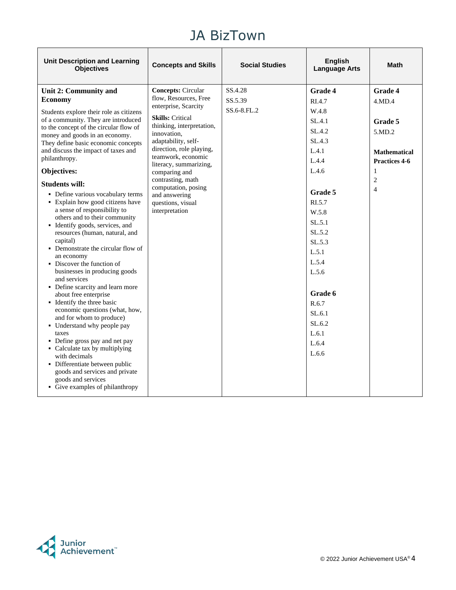| <b>Unit Description and Learning</b><br><b>Objectives</b>                                                                                                                                                                                                                                                                                                                                                                                                                                                                                                                                                                                                                                                                                                                                                                                                                                                                                                                                                                                       | <b>Concepts and Skills</b>                                                                                                                                                                                                                                                                                          | <b>Social Studies</b> | <b>English</b><br><b>Language Arts</b>                                                                                                                                                                                   | Math                                                                                               |
|-------------------------------------------------------------------------------------------------------------------------------------------------------------------------------------------------------------------------------------------------------------------------------------------------------------------------------------------------------------------------------------------------------------------------------------------------------------------------------------------------------------------------------------------------------------------------------------------------------------------------------------------------------------------------------------------------------------------------------------------------------------------------------------------------------------------------------------------------------------------------------------------------------------------------------------------------------------------------------------------------------------------------------------------------|---------------------------------------------------------------------------------------------------------------------------------------------------------------------------------------------------------------------------------------------------------------------------------------------------------------------|-----------------------|--------------------------------------------------------------------------------------------------------------------------------------------------------------------------------------------------------------------------|----------------------------------------------------------------------------------------------------|
| Unit 2: Community and<br><b>Economy</b>                                                                                                                                                                                                                                                                                                                                                                                                                                                                                                                                                                                                                                                                                                                                                                                                                                                                                                                                                                                                         | <b>Concepts: Circular</b><br>flow, Resources, Free                                                                                                                                                                                                                                                                  | SS.4.28<br>SS.5.39    | <b>Grade 4</b><br>RI.4.7                                                                                                                                                                                                 | <b>Grade 4</b><br>4.MD.4                                                                           |
| Students explore their role as citizens<br>of a community. They are introduced<br>to the concept of the circular flow of<br>money and goods in an economy.<br>They define basic economic concepts<br>and discuss the impact of taxes and<br>philanthropy.<br>Objectives:<br><b>Students will:</b><br>• Define various vocabulary terms<br>• Explain how good citizens have<br>a sense of responsibility to<br>others and to their community<br>• Identify goods, services, and<br>resources (human, natural, and<br>capital)<br>• Demonstrate the circular flow of<br>an economy<br>• Discover the function of<br>businesses in producing goods<br>and services<br>• Define scarcity and learn more<br>about free enterprise<br>• Identify the three basic<br>economic questions (what, how,<br>and for whom to produce)<br>• Understand why people pay<br>taxes<br>• Define gross pay and net pay<br>• Calculate tax by multiplying<br>with decimals<br>• Differentiate between public<br>goods and services and private<br>goods and services | enterprise, Scarcity<br><b>Skills:</b> Critical<br>thinking, interpretation,<br>innovation,<br>adaptability, self-<br>direction, role playing,<br>teamwork, economic<br>literacy, summarizing,<br>comparing and<br>contrasting, math<br>computation, posing<br>and answering<br>questions, visual<br>interpretation | SS.6-8.FL.2           | W.4.8<br>SL.4.1<br>SL.4.2<br>SL.4.3<br>L.4.1<br>L.4.4<br>L.4.6<br>Grade 5<br>RI.5.7<br>W.5.8<br>SL.5.1<br>SL.5.2<br>SL.5.3<br>L.5.1<br>L.5.4<br>L.5.6<br>Grade 6<br>R.6.7<br>SL.6.1<br>SL.6.2<br>L.6.1<br>L.6.4<br>L.6.6 | Grade 5<br>5.MD.2<br><b>Mathematical</b><br>Practices 4-6<br>1<br>$\overline{2}$<br>$\overline{4}$ |
| • Give examples of philanthropy                                                                                                                                                                                                                                                                                                                                                                                                                                                                                                                                                                                                                                                                                                                                                                                                                                                                                                                                                                                                                 |                                                                                                                                                                                                                                                                                                                     |                       |                                                                                                                                                                                                                          |                                                                                                    |

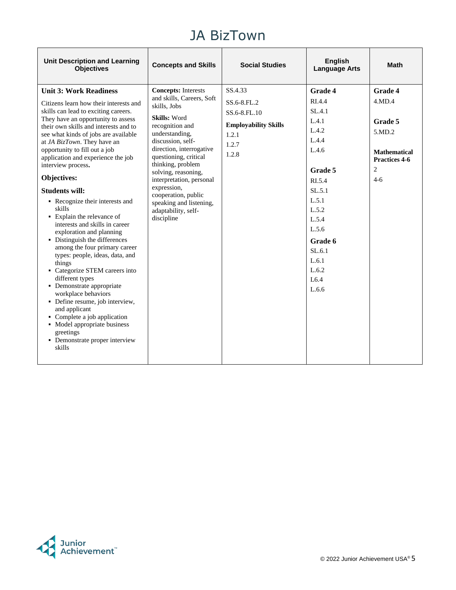| <b>Unit Description and Learning</b><br><b>Objectives</b>                                                                                                                                                                                                                                                                                                                                                                                                                                                                                                                                                                                                                                                                                                                                                                                                                                                                                                | <b>Concepts and Skills</b>                                                                                                                                                                                                                                                                                                                                                           | <b>Social Studies</b>                                                                            | <b>English</b><br><b>Language Arts</b>                                                                                                                                                            | <b>Math</b>                                                                                                        |
|----------------------------------------------------------------------------------------------------------------------------------------------------------------------------------------------------------------------------------------------------------------------------------------------------------------------------------------------------------------------------------------------------------------------------------------------------------------------------------------------------------------------------------------------------------------------------------------------------------------------------------------------------------------------------------------------------------------------------------------------------------------------------------------------------------------------------------------------------------------------------------------------------------------------------------------------------------|--------------------------------------------------------------------------------------------------------------------------------------------------------------------------------------------------------------------------------------------------------------------------------------------------------------------------------------------------------------------------------------|--------------------------------------------------------------------------------------------------|---------------------------------------------------------------------------------------------------------------------------------------------------------------------------------------------------|--------------------------------------------------------------------------------------------------------------------|
| <b>Unit 3: Work Readiness</b><br>Citizens learn how their interests and<br>skills can lead to exciting careers.<br>They have an opportunity to assess<br>their own skills and interests and to<br>see what kinds of jobs are available<br>at JA BizTown. They have an<br>opportunity to fill out a job<br>application and experience the job<br>interview process.<br>Objectives:<br><b>Students will:</b><br>• Recognize their interests and<br>skills<br>• Explain the relevance of<br>interests and skills in career<br>exploration and planning<br>• Distinguish the differences<br>among the four primary career<br>types: people, ideas, data, and<br>things<br>• Categorize STEM careers into<br>different types<br>• Demonstrate appropriate<br>workplace behaviors<br>• Define resume, job interview,<br>and applicant<br>• Complete a job application<br>• Model appropriate business<br>greetings<br>• Demonstrate proper interview<br>skills | <b>Concepts:</b> Interests<br>and skills, Careers, Soft<br>skills, Jobs<br>Skills: Word<br>recognition and<br>understanding,<br>discussion, self-<br>direction, interrogative<br>questioning, critical<br>thinking, problem<br>solving, reasoning,<br>interpretation, personal<br>expression,<br>cooperation, public<br>speaking and listening,<br>adaptability, self-<br>discipline | SS.4.33<br>SS.6-8.FL.2<br>SS.6-8.FL.10<br><b>Employability Skills</b><br>1.2.1<br>1.2.7<br>1.2.8 | <b>Grade 4</b><br>RI.4.4<br>SL.4.1<br>L.4.1<br>L.4.2<br>L.4.4<br>L.4.6<br>Grade 5<br>RI.5.4<br>SL.5.1<br>L.5.1<br>L.5.2<br>L.5.4<br>L.5.6<br>Grade 6<br>SL.6.1<br>L.6.1<br>L.6.2<br>L6.4<br>L.6.6 | <b>Grade 4</b><br>4.MD.4<br>Grade 5<br>5.MD.2<br><b>Mathematical</b><br>Practices 4-6<br>$\overline{c}$<br>$4 - 6$ |

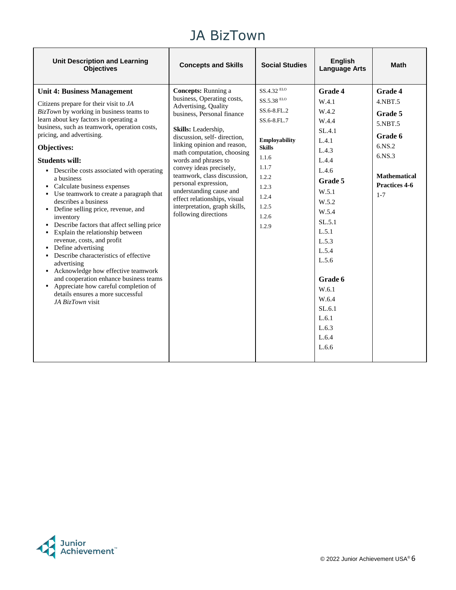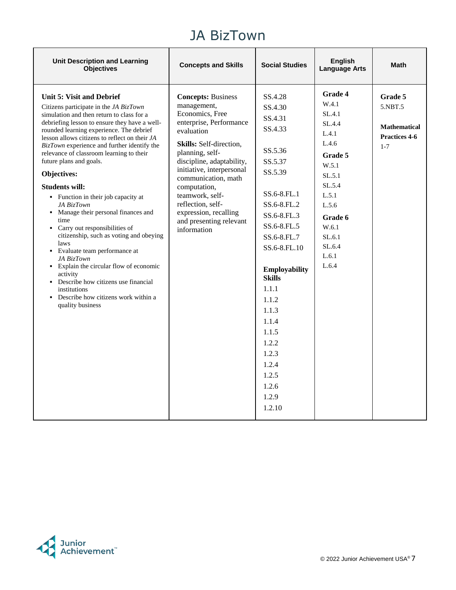| <b>Unit Description and Learning</b><br><b>Objectives</b>                                                                                                                                                                                                                                                                                                                                                                                                                                                                                                                                                                                                                                                                                                                                                                                                       | <b>Concepts and Skills</b>                                                                                                                                                                                                                                                                                                                                     | <b>Social Studies</b>                                                                                                                                                                                                                                                                                               | <b>English</b><br><b>Language Arts</b>                                                                                                                                            | <b>Math</b>                                                                  |
|-----------------------------------------------------------------------------------------------------------------------------------------------------------------------------------------------------------------------------------------------------------------------------------------------------------------------------------------------------------------------------------------------------------------------------------------------------------------------------------------------------------------------------------------------------------------------------------------------------------------------------------------------------------------------------------------------------------------------------------------------------------------------------------------------------------------------------------------------------------------|----------------------------------------------------------------------------------------------------------------------------------------------------------------------------------------------------------------------------------------------------------------------------------------------------------------------------------------------------------------|---------------------------------------------------------------------------------------------------------------------------------------------------------------------------------------------------------------------------------------------------------------------------------------------------------------------|-----------------------------------------------------------------------------------------------------------------------------------------------------------------------------------|------------------------------------------------------------------------------|
| <b>Unit 5: Visit and Debrief</b><br>Citizens participate in the JA BizTown<br>simulation and then return to class for a<br>debriefing lesson to ensure they have a well-<br>rounded learning experience. The debrief<br>lesson allows citizens to reflect on their JA<br>BizTown experience and further identify the<br>relevance of classroom learning to their<br>future plans and goals.<br>Objectives:<br><b>Students will:</b><br>• Function in their job capacity at<br>JA BizTown<br>• Manage their personal finances and<br>time<br>• Carry out responsibilities of<br>citizenship, such as voting and obeying<br>laws<br>Evaluate team performance at<br>٠<br>JA BizTown<br>• Explain the circular flow of economic<br>activity<br>Describe how citizens use financial<br>institutions<br>Describe how citizens work within a<br>٠<br>quality business | <b>Concepts: Business</b><br>management,<br>Economics, Free<br>enterprise, Performance<br>evaluation<br>Skills: Self-direction,<br>planning, self-<br>discipline, adaptability,<br>initiative, interpersonal<br>communication, math<br>computation,<br>teamwork, self-<br>reflection, self-<br>expression, recalling<br>and presenting relevant<br>information | SS.4.28<br>SS.4.30<br>SS.4.31<br>SS.4.33<br>SS.5.36<br>SS.5.37<br>SS.5.39<br>SS.6-8.FL.1<br>SS.6-8.FL.2<br>SS.6-8.FL.3<br>SS.6-8.FL.5<br>SS.6-8.FL.7<br>SS.6-8.FL.10<br>Employability<br><b>Skills</b><br>1.1.1<br>1.1.2<br>1.1.3<br>1.1.4<br>1.1.5<br>1.2.2<br>1.2.3<br>1.2.4<br>1.2.5<br>1.2.6<br>1.2.9<br>1.2.10 | <b>Grade 4</b><br>W.4.1<br>SL.4.1<br>SL.4.4<br>L.4.1<br>L.4.6<br>Grade 5<br>W.5.1<br>SL.5.1<br>SL.5.4<br>L.5.1<br>L.5.6<br>Grade 6<br>W.6.1<br>SL.6.1<br>SL.6.4<br>L.6.1<br>L.6.4 | Grade 5<br>5.NBT.5<br><b>Mathematical</b><br><b>Practices 4-6</b><br>$1 - 7$ |

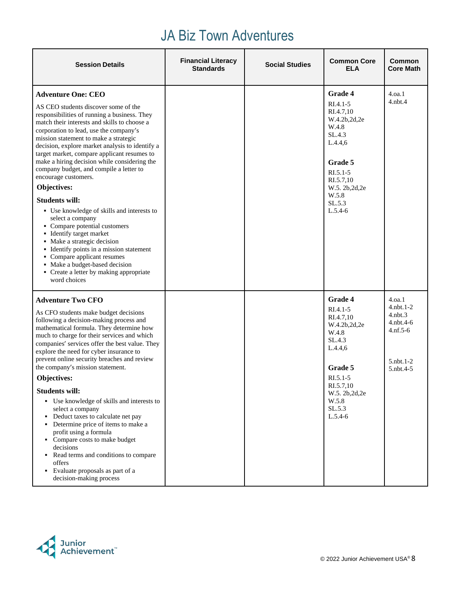# JA Biz Town Adventures

| <b>Session Details</b>                                                                                                                                                                                                                                                                                                                                                                                                                                                                                                                                                                                                                                                                                                                                                                                                                                  | <b>Financial Literacy</b><br><b>Standards</b> | <b>Social Studies</b> | <b>Common Core</b><br><b>ELA</b>                                                                                                                                            | <b>Common</b><br><b>Core Math</b>                                                                           |
|---------------------------------------------------------------------------------------------------------------------------------------------------------------------------------------------------------------------------------------------------------------------------------------------------------------------------------------------------------------------------------------------------------------------------------------------------------------------------------------------------------------------------------------------------------------------------------------------------------------------------------------------------------------------------------------------------------------------------------------------------------------------------------------------------------------------------------------------------------|-----------------------------------------------|-----------------------|-----------------------------------------------------------------------------------------------------------------------------------------------------------------------------|-------------------------------------------------------------------------------------------------------------|
| <b>Adventure One: CEO</b><br>AS CEO students discover some of the<br>responsibilities of running a business. They<br>match their interests and skills to choose a<br>corporation to lead, use the company's<br>mission statement to make a strategic<br>decision, explore market analysis to identify a<br>target market, compare applicant resumes to<br>make a hiring decision while considering the<br>company budget, and compile a letter to<br>encourage customers.<br>Objectives:<br><b>Students will:</b><br>• Use knowledge of skills and interests to<br>select a company<br>• Compare potential customers<br>• Identify target market<br>• Make a strategic decision<br>• Identify points in a mission statement<br>• Compare applicant resumes<br>• Make a budget-based decision<br>• Create a letter by making appropriate<br>word choices |                                               |                       | Grade 4<br>$RI.4.1 - 5$<br>RI.4.7,10<br>W.4.2b,2d,2e<br>W.4.8<br>SL.4.3<br>L.4.4,6<br>Grade 5<br>$R1.5.1-5$<br>RI.5.7,10<br>W.5. 2b, 2d, 2e<br>W.5.8<br>SL.5.3<br>$L.5.4-6$ | 4.0a.1<br>$4.$ nbt. $4$                                                                                     |
| <b>Adventure Two CFO</b><br>As CFO students make budget decisions<br>following a decision-making process and<br>mathematical formula. They determine how<br>much to charge for their services and which<br>companies' services offer the best value. They<br>explore the need for cyber insurance to<br>prevent online security breaches and review<br>the company's mission statement.<br>Objectives:<br><b>Students will:</b><br>• Use knowledge of skills and interests to<br>select a company<br>Deduct taxes to calculate net pay<br>Determine price of items to make a<br>profit using a formula<br>• Compare costs to make budget<br>decisions<br>Read terms and conditions to compare<br>٠<br>offers<br>• Evaluate proposals as part of a<br>decision-making process                                                                            |                                               |                       | Grade 4<br>$RI.4.1-5$<br>RI.4.7,10<br>W.4.2b,2d,2e<br>W.4.8<br>SL.4.3<br>L.4.4,6<br>Grade 5<br>RI.5.1-5<br>RI.5.7,10<br>W.5. 2b, 2d, 2e<br>W.5.8<br>SL.5.3<br>$L.5.4-6$     | 4.oa.1<br>$4.$ nbt. $1-2$<br>$4.$ nbt $.3$<br>$4.$ nbt. $4-6$<br>$4.nf.5-6$<br>$5.$ nbt. $1-2$<br>5.nbt.4-5 |

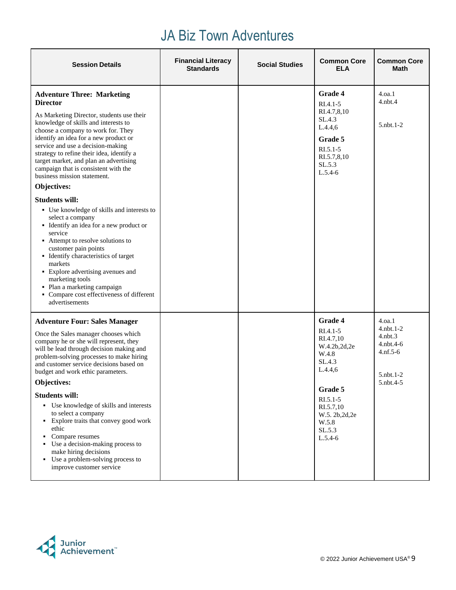# JA Biz Town Adventures

| <b>Session Details</b>                                                                                                                                                                                                                                                                                                                                                                                                                                                                                                                                                                                                                                                                                                                                                                                                                                            | <b>Financial Literacy</b><br><b>Standards</b> | <b>Social Studies</b> | <b>Common Core</b><br><b>ELA</b>                                                                                                                                              | <b>Common Core</b><br>Math                                                                               |
|-------------------------------------------------------------------------------------------------------------------------------------------------------------------------------------------------------------------------------------------------------------------------------------------------------------------------------------------------------------------------------------------------------------------------------------------------------------------------------------------------------------------------------------------------------------------------------------------------------------------------------------------------------------------------------------------------------------------------------------------------------------------------------------------------------------------------------------------------------------------|-----------------------------------------------|-----------------------|-------------------------------------------------------------------------------------------------------------------------------------------------------------------------------|----------------------------------------------------------------------------------------------------------|
| <b>Adventure Three: Marketing</b><br><b>Director</b><br>As Marketing Director, students use their<br>knowledge of skills and interests to<br>choose a company to work for. They<br>identify an idea for a new product or<br>service and use a decision-making<br>strategy to refine their idea, identify a<br>target market, and plan an advertising<br>campaign that is consistent with the<br>business mission statement.<br>Objectives:<br><b>Students will:</b><br>• Use knowledge of skills and interests to<br>select a company<br>• Identify an idea for a new product or<br>service<br>• Attempt to resolve solutions to<br>customer pain points<br>• Identify characteristics of target<br>markets<br>• Explore advertising avenues and<br>marketing tools<br>• Plan a marketing campaign<br>• Compare cost effectiveness of different<br>advertisements |                                               |                       | <b>Grade 4</b><br>$RI.4.1 - 5$<br>RI.4.7,8,10<br>SL.4.3<br>L.4.4,6<br>Grade 5<br>RI.5.1-5<br>RI.5.7,8,10<br>SL.5.3<br>$L.5.4-6$                                               | 4.0a.1<br>$4.$ nbt. $4$<br>$5.$ nbt.1-2                                                                  |
| <b>Adventure Four: Sales Manager</b><br>Once the Sales manager chooses which<br>company he or she will represent, they<br>will be lead through decision making and<br>problem-solving processes to make hiring<br>and customer service decisions based on<br>budget and work ethic parameters.<br>Objectives:<br><b>Students will:</b><br>• Use knowledge of skills and interests<br>to select a company<br>• Explore traits that convey good work<br>ethic<br>Compare resumes<br>Use a decision-making process to<br>make hiring decisions<br>Use a problem-solving process to<br>٠<br>improve customer service                                                                                                                                                                                                                                                  |                                               |                       | Grade 4<br>$RI.4.1 - 5$<br>RI.4.7,10<br>W.4.2b,2d,2e<br>W.4.8<br>SL.4.3<br>L.4.4,6<br>Grade 5<br>$RI.5.1 - 5$<br>RI.5.7,10<br>W.5. 2b, 2d, 2e<br>W.5.8<br>SL.5.3<br>$L.5.4-6$ | 4.0a.1<br>$4.$ nbt. $1-2$<br>$4.$ nbt $.3$<br>$4.$ nbt. $4-6$<br>$4.nf.5-6$<br>$5.$ nbt.1-2<br>5.nbt.4-5 |

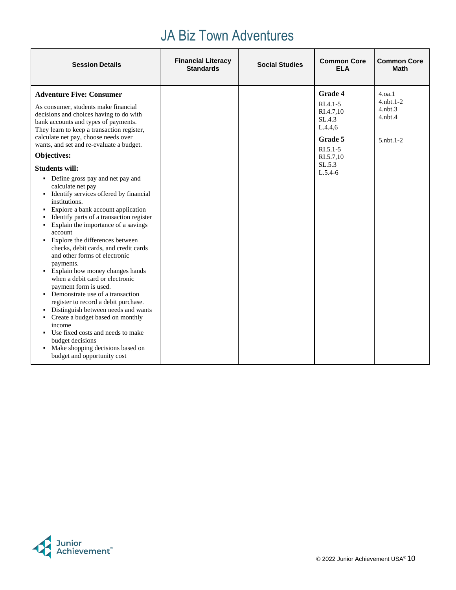# JA Biz Town Adventures

|                                                                                                                                                                                                                                                                                                                                                                                                                                                                                                                                                                                                                                                                                                                                                                                                                                                                                                                                                                                                                                                                                                                                                                                                                                                                                                                                                                 | <b>Session Details</b> | <b>Common Core</b><br><b>Common Core</b><br>Math |
|-----------------------------------------------------------------------------------------------------------------------------------------------------------------------------------------------------------------------------------------------------------------------------------------------------------------------------------------------------------------------------------------------------------------------------------------------------------------------------------------------------------------------------------------------------------------------------------------------------------------------------------------------------------------------------------------------------------------------------------------------------------------------------------------------------------------------------------------------------------------------------------------------------------------------------------------------------------------------------------------------------------------------------------------------------------------------------------------------------------------------------------------------------------------------------------------------------------------------------------------------------------------------------------------------------------------------------------------------------------------|------------------------|--------------------------------------------------|
| Grade 4<br><b>Adventure Five: Consumer</b><br>4.0a.1<br>$4.$ nbt. $1-2$<br>$RI.4.1 - 5$<br>As consumer, students make financial<br>$4.$ n $bt.3$<br>RI.4.7,10<br>decisions and choices having to do with<br>$4.$ nbt $.4$<br>SL.4.3<br>bank accounts and types of payments.<br>L.4.4,6<br>They learn to keep a transaction register,<br>calculate net pay, choose needs over<br>Grade 5<br>$5.$ nbt. 1-2<br>wants, and set and re-evaluate a budget.<br>$RI.5.1 - 5$<br><b>Objectives:</b><br>RI.5.7,10<br>SL.5.3<br><b>Students will:</b><br>$L.5.4-6$<br>• Define gross pay and net pay and<br>calculate net pay<br>• Identify services offered by financial<br>institutions.<br>Explore a bank account application<br>٠<br>Identify parts of a transaction register<br>Explain the importance of a savings<br>٠<br>account<br>• Explore the differences between<br>checks, debit cards, and credit cards<br>and other forms of electronic<br>payments.<br>• Explain how money changes hands<br>when a debit card or electronic<br>payment form is used.<br>• Demonstrate use of a transaction<br>register to record a debit purchase.<br>Distinguish between needs and wants<br>• Create a budget based on monthly<br>income<br>• Use fixed costs and needs to make<br>budget decisions<br>• Make shopping decisions based on<br>budget and opportunity cost |                        |                                                  |

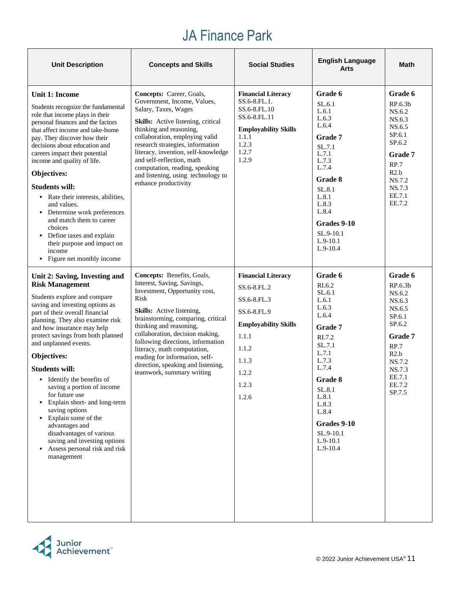# JA Finance Park

| <b>Unit Description</b>                                                                                                                                                                                                                                                                                                                                                                                                                                                                                                                                                                                                   | <b>Concepts and Skills</b>                                                                                                                                                                                                                                                                                                                                                                                  | <b>Social Studies</b>                                                                                                                                       | <b>English Language</b><br>Arts                                                                                                                                                                                          | <b>Math</b>                                                                                                                                                          |
|---------------------------------------------------------------------------------------------------------------------------------------------------------------------------------------------------------------------------------------------------------------------------------------------------------------------------------------------------------------------------------------------------------------------------------------------------------------------------------------------------------------------------------------------------------------------------------------------------------------------------|-------------------------------------------------------------------------------------------------------------------------------------------------------------------------------------------------------------------------------------------------------------------------------------------------------------------------------------------------------------------------------------------------------------|-------------------------------------------------------------------------------------------------------------------------------------------------------------|--------------------------------------------------------------------------------------------------------------------------------------------------------------------------------------------------------------------------|----------------------------------------------------------------------------------------------------------------------------------------------------------------------|
| Unit 1: Income<br>Students recognize the fundamental<br>role that income plays in their<br>personal finances and the factors<br>that affect income and take-home<br>pay. They discover how their<br>decisions about education and<br>careers impact their potential<br>income and quality of life.<br>Objectives:<br><b>Students will:</b><br>• Rate their interests, abilities,<br>and values.<br>• Determine work preferences<br>and match them to career<br>choices<br>Define taxes and explain<br>$\mathbf{H}$<br>their purpose and impact on<br>income<br>• Figure net monthly income                                | Concepts: Career, Goals,<br>Government, Income, Values,<br>Salary, Taxes, Wages<br>Skills: Active listening, critical<br>thinking and reasoning,<br>collaboration, employing valid<br>research strategies, information<br>literacy, invention, self-knowledge<br>and self-reflection, math<br>computation, reading, speaking<br>and listening, using technology to<br>enhance productivity                  | <b>Financial Literacy</b><br>SS.6-8.FL.1.<br>SS.6-8.FL.10<br>SS.6-8.FL.11<br><b>Employability Skills</b><br>1.1.1<br>1.2.3<br>1.2.7<br>1.2.9                | Grade 6<br>SL.6.1<br>L.6.1<br>L.6.3<br>L.6.4<br>Grade 7<br>SL.7.1<br>L.7.1<br>L.7.3<br>L.7.4<br>Grade 8<br>SL.8.1<br>L.8.1<br>L.8.3<br>L.8.4<br>Grades 9-10<br>SL.9-10.1<br>$L.9-10.1$<br>$L.9-10.4$                     | Grade 6<br>RP.6.3b<br>NS.6.2<br>NS.6.3<br>NS.6.5<br>SP.6.1<br>SP.6.2<br><b>Grade</b> 7<br>RP.7<br>R2.b<br>NS.7.2<br>NS.7.3<br>EE.7.1<br>EE.7.2                       |
| Unit 2: Saving, Investing and<br><b>Risk Management</b><br>Students explore and compare<br>saving and investing options as<br>part of their overall financial<br>planning. They also examine risk<br>and how insurance may help<br>protect savings from both planned<br>and unplanned events.<br>Objectives:<br><b>Students will:</b><br>• Identify the benefits of<br>saving a portion of income<br>for future use<br>Explain short- and long-term<br>saving options<br>Explain some of the<br>advantages and<br>disadvantages of various<br>saving and investing options<br>Assess personal risk and risk<br>management | Concepts: Benefits, Goals,<br>Interest, Saving, Savings,<br>Investment, Opportunity cost,<br>Risk<br>Skills: Active listening,<br>brainstorming, comparing, critical<br>thinking and reasoning,<br>collaboration, decision making,<br>following directions, information<br>literacy, math computation,<br>reading for information, self-<br>direction, speaking and listening,<br>teamwork, summary writing | <b>Financial Literacy</b><br>SS.6-8.FL.2<br>SS.6-8.FL.3<br>SS.6-8.FL.9<br><b>Employability Skills</b><br>1.1.1<br>1.1.2<br>1.1.3<br>1.2.2<br>1.2.3<br>1.2.6 | Grade 6<br>RI.6.2<br>SL.6.1<br>L.6.1<br>L.6.3<br>L.6.4<br>Grade 7<br>RI.7.2<br>SL.7.1<br>L.7.1<br>L.7.3<br>L.7.4<br>Grade 8<br>SL.8.1<br>L.8.1<br>L.8.3<br>L.8.4<br>Grades 9-10<br>SL.9-10.1<br>$L.9-10.1$<br>$L.9-10.4$ | Grade 6<br>RP.6.3 <sub>b</sub><br>NS.6.2<br>NS.6.3<br>NS.6.5<br>SP.6.1<br>SP.6.2<br><b>Grade 7</b><br>RP.7<br>R2.b<br>NS.7.2<br>NS.7.3<br>EE.7.1<br>EE.7.2<br>SP.7.5 |

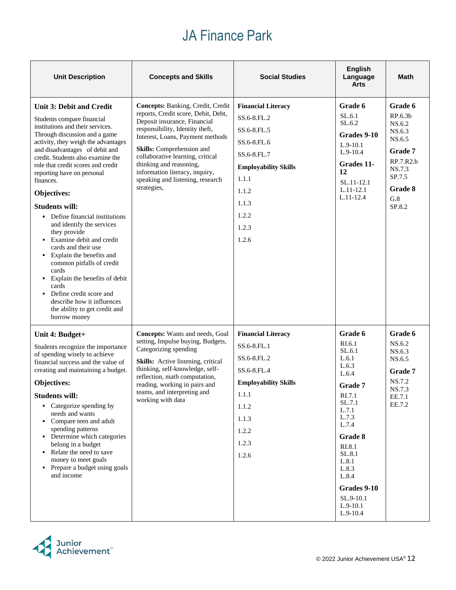#### JA Finance Park

| <b>Unit Description</b>                                                                                                                                                                                                                                                                                                                                                                                                                                                                                                                                                                                                                                                                                                                    | <b>Concepts and Skills</b>                                                                                                                                                                                                                                                                                                                                       | <b>Social Studies</b>                                                                                                                                                      | <b>English</b><br>Language<br><b>Arts</b>                                                                                                                                                                                          | <b>Math</b>                                                                                                              |
|--------------------------------------------------------------------------------------------------------------------------------------------------------------------------------------------------------------------------------------------------------------------------------------------------------------------------------------------------------------------------------------------------------------------------------------------------------------------------------------------------------------------------------------------------------------------------------------------------------------------------------------------------------------------------------------------------------------------------------------------|------------------------------------------------------------------------------------------------------------------------------------------------------------------------------------------------------------------------------------------------------------------------------------------------------------------------------------------------------------------|----------------------------------------------------------------------------------------------------------------------------------------------------------------------------|------------------------------------------------------------------------------------------------------------------------------------------------------------------------------------------------------------------------------------|--------------------------------------------------------------------------------------------------------------------------|
| <b>Unit 3: Debit and Credit</b><br>Students compare financial<br>institutions and their services.<br>Through discussion and a game<br>activity, they weigh the advantages<br>and disadvantages of debit and<br>credit. Students also examine the<br>role that credit scores and credit<br>reporting have on personal<br>finances.<br>Objectives:<br><b>Students will:</b><br>• Define financial institutions<br>and identify the services<br>they provide<br>• Examine debit and credit<br>cards and their use<br>• Explain the benefits and<br>common pitfalls of credit<br>cards<br>• Explain the benefits of debit<br>cards<br>• Define credit score and<br>describe how it influences<br>the ability to get credit and<br>borrow money | Concepts: Banking, Credit, Credit<br>reports, Credit score, Debit, Debt,<br>Deposit insurance, Financial<br>responsibility, Identity theft,<br>Interest, Loans, Payment methods<br>Skills: Comprehension and<br>collaborative learning, critical<br>thinking and reasoning,<br>information literacy, inquiry,<br>speaking and listening, research<br>strategies, | <b>Financial Literacy</b><br>SS.6-8.FL.2<br>SS.6-8.FL.5<br>SS.6-8.FL.6<br>SS.6-8.FL.7<br><b>Employability Skills</b><br>1.1.1<br>1.1.2<br>1.1.3<br>1.2.2<br>1.2.3<br>1.2.6 | Grade 6<br>SL.6.1<br>SL.6.2<br>Grades 9-10<br>$L.9-10.1$<br>$L.9-10.4$<br>Grades 11-<br>12<br>SL.11-12.1<br>$L.11-12.1$<br>L.11-12.4                                                                                               | Grade 6<br>RP.6.3b<br>NS.6.2<br>NS.6.3<br>NS.6.5<br>Grade 7<br>RP.7.R2.b<br>NS.7.3<br>SP.7.5<br>Grade 8<br>G.8<br>SP.8.2 |
| Unit 4: Budget+<br>Students recognize the importance<br>of spending wisely to achieve<br>financial success and the value of<br>creating and maintaining a budget.<br>Objectives:<br><b>Students will:</b><br>• Categorize spending by<br>needs and wants<br>• Compare teen and adult<br>spending patterns<br>• Determine which categories<br>belong in a budget<br>Relate the need to save<br>money to meet goals<br>• Prepare a budget using goals<br>and income                                                                                                                                                                                                                                                                          | Concepts: Wants and needs, Goal<br>setting, Impulse buying, Budgets,<br>Categorizing spending<br>Skills: Active listening, critical<br>thinking, self-knowledge, self-<br>reflection, math computation,<br>reading, working in pairs and<br>teams, and interpreting and<br>working with data                                                                     | <b>Financial Literacy</b><br>SS.6-8.FL.1<br>SS.6-8.FL.2<br>SS.6-8.FL.4<br><b>Employability Skills</b><br>1.1.1<br>1.1.2<br>1.1.3<br>1.2.2<br>1.2.3<br>1.2.6                | Grade 6<br>RI.6.1<br>SL.6.1<br>L.6.1<br>L.6.3<br>L.6.4<br>Grade 7<br>RI.7.1<br>SL.7.1<br>L.7.1<br>L.7.3<br>L.7.4<br>Grade 8<br>RI.8.1<br>SL.8.1<br>L.8.1<br>L.8.3<br>L.8.4<br>Grades 9-10<br>SL.9-10.1<br>$L.9-10.1$<br>$L.9-10.4$ | Grade 6<br>NS.6.2<br>NS.6.3<br>NS.6.5<br>Grade 7<br>NS.7.2<br>NS.7.3<br>EE.7.1<br>EE.7.2                                 |

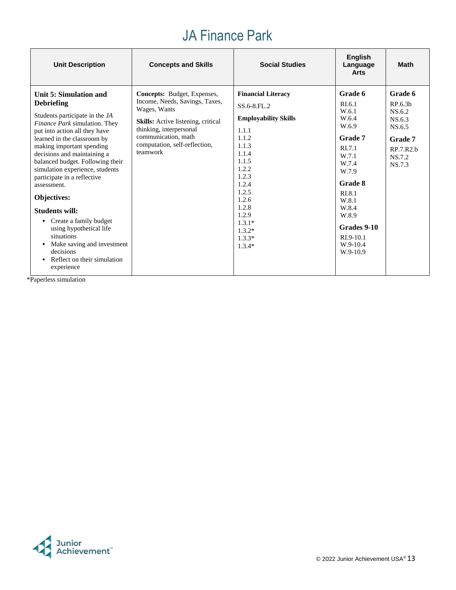# JA Finance Park

| <b>Unit Description</b>                                                                                                                                                                                                                                                                                                                                                                                                                                                                                                                                                                     | <b>Concepts and Skills</b>                                                                                                                                                                                                       | <b>Social Studies</b>                                                                                                                                                                                                               | <b>English</b><br>Language<br><b>Arts</b>                                                                                                                                                                          | <b>Math</b>                                                                                         |
|---------------------------------------------------------------------------------------------------------------------------------------------------------------------------------------------------------------------------------------------------------------------------------------------------------------------------------------------------------------------------------------------------------------------------------------------------------------------------------------------------------------------------------------------------------------------------------------------|----------------------------------------------------------------------------------------------------------------------------------------------------------------------------------------------------------------------------------|-------------------------------------------------------------------------------------------------------------------------------------------------------------------------------------------------------------------------------------|--------------------------------------------------------------------------------------------------------------------------------------------------------------------------------------------------------------------|-----------------------------------------------------------------------------------------------------|
| Unit 5: Simulation and<br><b>Debriefing</b><br>Students participate in the JA<br>Finance Park simulation. They<br>put into action all they have<br>learned in the classroom by<br>making important spending<br>decisions and maintaining a<br>balanced budget. Following their<br>simulation experience, students<br>participate in a reflective<br>assessment.<br><b>Objectives:</b><br><b>Students will:</b><br>Create a family budget<br>using hypothetical life<br>situations<br>Make saving and investment<br>decisions<br>Reflect on their simulation<br>$\blacksquare$<br>experience | <b>Concepts:</b> Budget, Expenses,<br>Income, Needs, Savings, Taxes,<br>Wages, Wants<br><b>Skills:</b> Active listening, critical<br>thinking, interpersonal<br>communication, math<br>computation, self-reflection,<br>teamwork | <b>Financial Literacy</b><br>SS.6-8.FL.2<br><b>Employability Skills</b><br>1.1.1<br>1.1.2<br>1.1.3<br>1.1.4<br>1.1.5<br>1.2.2<br>1.2.3<br>1.2.4<br>1.2.5<br>1.2.6<br>1.2.8<br>1.2.9<br>$1.3.1*$<br>$1.3.2*$<br>$1.3.3*$<br>$1.3.4*$ | Grade 6<br>RI.6.1<br>W.6.1<br>W.6.4<br>W.6.9<br><b>Grade 7</b><br>RI.7.1<br>W.7.1<br>W.7.4<br>W.7.9<br><b>Grade 8</b><br>RI.8.1<br>W.8.1<br>W.8.4<br>W.8.9<br>Grades 9-10<br>$RI.9-10.1$<br>$W.9-10.4$<br>W.9-10.9 | <b>Grade 6</b><br>RP.6.3b<br>NS.6.2<br>NS.6.3<br>NS.6.5<br>Grade 7<br>RP.7.R2.b<br>NS.7.2<br>NS.7.3 |

\*Paperless simulation

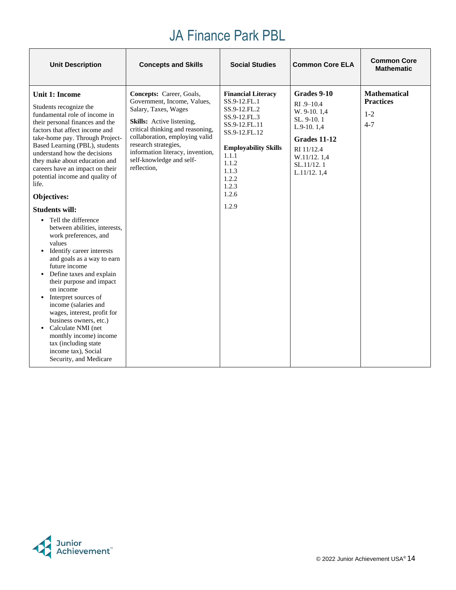| <b>Unit Description</b>                                                                                                                                                                                                                                                                                                                                                                                                                                                                                                                                                                                                                                                                                                                                                                                                                                                                                                                                       | <b>Concepts and Skills</b>                                                                                                                                                                                                                                                                       | <b>Social Studies</b>                                                                                                                                                                                     | <b>Common Core ELA</b>                                                                                                                               | <b>Common Core</b><br><b>Mathematic</b>                       |
|---------------------------------------------------------------------------------------------------------------------------------------------------------------------------------------------------------------------------------------------------------------------------------------------------------------------------------------------------------------------------------------------------------------------------------------------------------------------------------------------------------------------------------------------------------------------------------------------------------------------------------------------------------------------------------------------------------------------------------------------------------------------------------------------------------------------------------------------------------------------------------------------------------------------------------------------------------------|--------------------------------------------------------------------------------------------------------------------------------------------------------------------------------------------------------------------------------------------------------------------------------------------------|-----------------------------------------------------------------------------------------------------------------------------------------------------------------------------------------------------------|------------------------------------------------------------------------------------------------------------------------------------------------------|---------------------------------------------------------------|
| <b>Unit 1: Income</b><br>Students recognize the<br>fundamental role of income in<br>their personal finances and the<br>factors that affect income and<br>take-home pay. Through Project-<br>Based Learning (PBL), students<br>understand how the decisions<br>they make about education and<br>careers have an impact on their<br>potential income and quality of<br>life.<br>Objectives:<br><b>Students will:</b><br>Tell the difference<br>$\blacksquare$<br>between abilities, interests,<br>work preferences, and<br>values<br>Identify career interests<br>$\blacksquare$<br>and goals as a way to earn<br>future income<br>• Define taxes and explain<br>their purpose and impact<br>on income<br>Interpret sources of<br>٠<br>income (salaries and<br>wages, interest, profit for<br>business owners, etc.)<br>Calculate NMI (net<br>$\blacksquare$<br>monthly income) income<br>tax (including state<br>income tax), Social<br>Security, and Medicare | Concepts: Career, Goals,<br>Government, Income, Values,<br>Salary, Taxes, Wages<br><b>Skills:</b> Active listening,<br>critical thinking and reasoning,<br>collaboration, employing valid<br>research strategies,<br>information literacy, invention,<br>self-knowledge and self-<br>reflection, | <b>Financial Literacy</b><br>SS.9-12.FL.1<br>SS.9-12.FL.2<br>SS.9-12.FL.3<br>SS.9-12.FL.11<br>SS.9-12.FL.12<br><b>Employability Skills</b><br>1.1.1<br>1.1.2<br>1.1.3<br>1.2.2<br>1.2.3<br>1.2.6<br>1.2.9 | Grades 9-10<br>$RI.9 - 10.4$<br>W. 9-10. 1,4<br>SL. 9-10.1<br>$L.9-10.1,4$<br>Grades 11-12<br>RI 11/12.4<br>W.11/12.1.4<br>SL.11/12.1<br>L.11/12.1,4 | <b>Mathematical</b><br><b>Practices</b><br>$1 - 2$<br>$4 - 7$ |

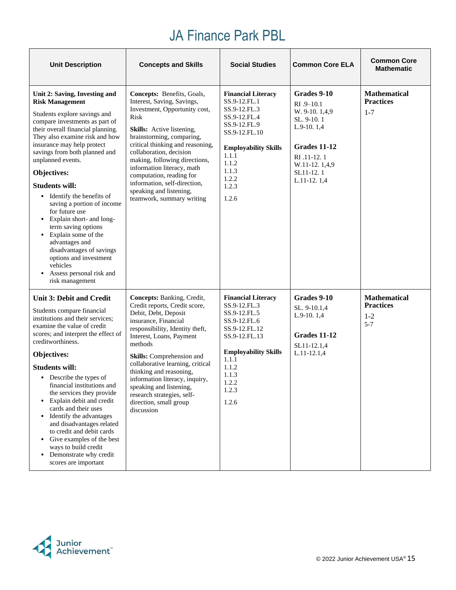| <b>Unit Description</b>                                                                                                                                                                                                                                                                                                                                                                                                                                                                                                                                                                                                                        | <b>Concepts and Skills</b>                                                                                                                                                                                                                                                                                                                                                                                           | <b>Social Studies</b>                                                                                                                                                                            | <b>Common Core ELA</b>                                                                                                                                     | <b>Common Core</b><br><b>Mathematic</b>                       |
|------------------------------------------------------------------------------------------------------------------------------------------------------------------------------------------------------------------------------------------------------------------------------------------------------------------------------------------------------------------------------------------------------------------------------------------------------------------------------------------------------------------------------------------------------------------------------------------------------------------------------------------------|----------------------------------------------------------------------------------------------------------------------------------------------------------------------------------------------------------------------------------------------------------------------------------------------------------------------------------------------------------------------------------------------------------------------|--------------------------------------------------------------------------------------------------------------------------------------------------------------------------------------------------|------------------------------------------------------------------------------------------------------------------------------------------------------------|---------------------------------------------------------------|
| Unit 2: Saving, Investing and<br><b>Risk Management</b><br>Students explore savings and<br>compare investments as part of<br>their overall financial planning.<br>They also examine risk and how<br>insurance may help protect<br>savings from both planned and<br>unplanned events.<br>Objectives:<br><b>Students will:</b><br>• Identify the benefits of<br>saving a portion of income<br>for future use<br>Explain short- and long-<br>term saving options<br>Explain some of the<br>$\blacksquare$<br>advantages and<br>disadvantages of savings<br>options and investment<br>vehicles<br>Assess personal risk and<br>٠<br>risk management | Concepts: Benefits, Goals,<br>Interest, Saving, Savings,<br>Investment, Opportunity cost,<br>Risk<br>Skills: Active listening,<br>brainstorming, comparing,<br>critical thinking and reasoning,<br>collaboration, decision<br>making, following directions,<br>information literacy, math<br>computation, reading for<br>information, self-direction,<br>speaking and listening,<br>teamwork, summary writing        | <b>Financial Literacy</b><br>SS.9-12.FL.1<br>SS.9-12.FL.3<br>SS.9-12.FL.4<br>SS.9-12.FL.9<br>SS.9-12.FL.10<br><b>Employability Skills</b><br>1.1.1<br>1.1.2<br>1.1.3<br>1.2.2<br>1.2.3<br>1.2.6  | Grades 9-10<br>$RI.9 - 10.1$<br>W. 9-10. 1,4,9<br>SL. 9-10.1<br>$L.9-10.1,4$<br>Grades 11-12<br>RI .11-12.1<br>W.11-12.1,4,9<br>SL11-12.1<br>$L.11-12.1,4$ | <b>Mathematical</b><br><b>Practices</b><br>$1 - 7$            |
| <b>Unit 3: Debit and Credit</b><br>Students compare financial<br>institutions and their services;<br>examine the value of credit<br>scores; and interpret the effect of<br>creditworthiness.<br>Objectives:<br><b>Students will:</b><br>• Describe the types of<br>financial institutions and<br>the services they provide<br>Explain debit and credit<br>٠<br>cards and their uses<br>• Identify the advantages<br>and disadvantages related<br>to credit and debit cards<br>• Give examples of the best<br>ways to build credit<br>• Demonstrate why credit<br>scores are important                                                          | Concepts: Banking, Credit,<br>Credit reports, Credit score,<br>Debit, Debt, Deposit<br>insurance, Financial<br>responsibility, Identity theft,<br>Interest, Loans, Payment<br>methods<br>Skills: Comprehension and<br>collaborative learning, critical<br>thinking and reasoning,<br>information literacy, inquiry,<br>speaking and listening,<br>research strategies, self-<br>direction, small group<br>discussion | <b>Financial Literacy</b><br>SS.9-12.FL.3<br>SS.9-12.FL.5<br>SS.9-12.FL.6<br>SS.9-12.FL.12<br>SS.9-12.FL.13<br><b>Employability Skills</b><br>1.1.1<br>1.1.2<br>1.1.3<br>1.2.2<br>1.2.3<br>1.2.6 | Grades 9-10<br>SL. 9-10.1,4<br>$L.9-10.1,4$<br>Grades 11-12<br>SL11-12.1,4<br>$L.11-12.1,4$                                                                | <b>Mathematical</b><br><b>Practices</b><br>$1 - 2$<br>$5 - 7$ |

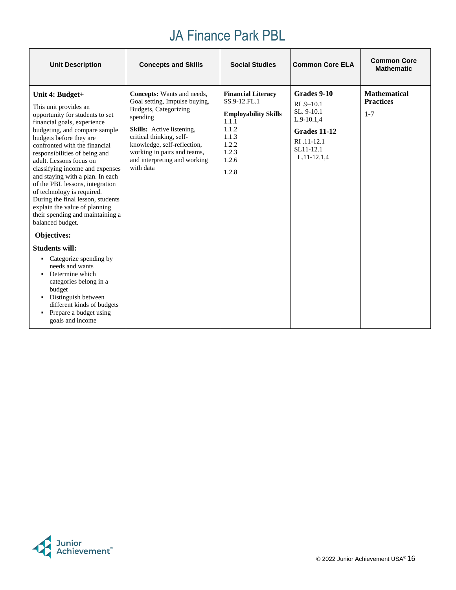| <b>Unit Description</b>                                                                                                                                                                                                                                                                                                                                                                                                                                                                                                                                                                                                                                                                                                                                                                                | <b>Concepts and Skills</b>                                                                                                                                                                                                                                                  | <b>Social Studies</b>                                                                                                                   | <b>Common Core ELA</b>                                                                                                  | <b>Common Core</b><br><b>Mathematic</b>            |
|--------------------------------------------------------------------------------------------------------------------------------------------------------------------------------------------------------------------------------------------------------------------------------------------------------------------------------------------------------------------------------------------------------------------------------------------------------------------------------------------------------------------------------------------------------------------------------------------------------------------------------------------------------------------------------------------------------------------------------------------------------------------------------------------------------|-----------------------------------------------------------------------------------------------------------------------------------------------------------------------------------------------------------------------------------------------------------------------------|-----------------------------------------------------------------------------------------------------------------------------------------|-------------------------------------------------------------------------------------------------------------------------|----------------------------------------------------|
| Unit 4: Budget+<br>This unit provides an<br>opportunity for students to set<br>financial goals, experience<br>budgeting, and compare sample<br>budgets before they are<br>confronted with the financial<br>responsibilities of being and<br>adult. Lessons focus on<br>classifying income and expenses<br>and staying with a plan. In each<br>of the PBL lessons, integration<br>of technology is required.<br>During the final lesson, students<br>explain the value of planning<br>their spending and maintaining a<br>balanced budget.<br>Objectives:<br><b>Students will:</b><br>Categorize spending by<br>٠<br>needs and wants<br>Determine which<br>٠<br>categories belong in a<br>budget<br>• Distinguish between<br>different kinds of budgets<br>• Prepare a budget using<br>goals and income | Concepts: Wants and needs,<br>Goal setting, Impulse buying,<br>Budgets, Categorizing<br>spending<br><b>Skills:</b> Active listening,<br>critical thinking, self-<br>knowledge, self-reflection,<br>working in pairs and teams,<br>and interpreting and working<br>with data | <b>Financial Literacy</b><br>SS.9-12.FL.1<br><b>Employability Skills</b><br>1.1.1<br>1.1.2<br>1.1.3<br>1.2.2<br>1.2.3<br>1.2.6<br>1.2.8 | Grades 9-10<br>$R1.9 - 10.1$<br>SL. 9-10.1<br>$L.9-10.1,4$<br>Grades 11-12<br>RI .11-12.1<br>SL11-12.1<br>$L.11-12.1,4$ | <b>Mathematical</b><br><b>Practices</b><br>$1 - 7$ |

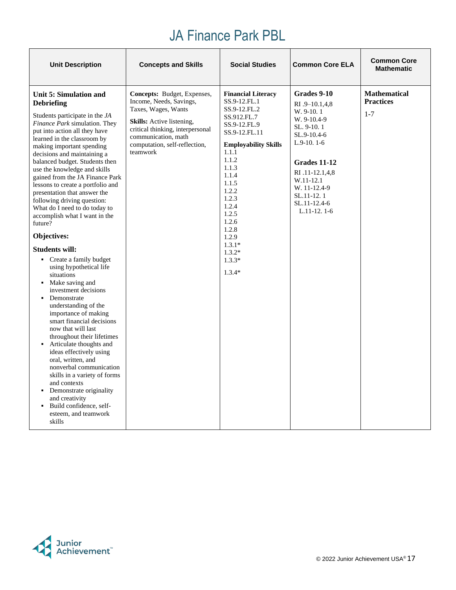| <b>Unit Description</b>                                                                                                                                                                                                                                                                                                                                                                                                                                                                                                                                                                                                                                                                                                                                                                                                                                                                                                                                                                                                                                                                                             | <b>Concepts and Skills</b>                                                                                                                                                                                                       | <b>Social Studies</b>                                                                                                                                                                                                                                                                                | <b>Common Core ELA</b>                                                                                                                                                                                                 | <b>Common Core</b><br><b>Mathematic</b>            |
|---------------------------------------------------------------------------------------------------------------------------------------------------------------------------------------------------------------------------------------------------------------------------------------------------------------------------------------------------------------------------------------------------------------------------------------------------------------------------------------------------------------------------------------------------------------------------------------------------------------------------------------------------------------------------------------------------------------------------------------------------------------------------------------------------------------------------------------------------------------------------------------------------------------------------------------------------------------------------------------------------------------------------------------------------------------------------------------------------------------------|----------------------------------------------------------------------------------------------------------------------------------------------------------------------------------------------------------------------------------|------------------------------------------------------------------------------------------------------------------------------------------------------------------------------------------------------------------------------------------------------------------------------------------------------|------------------------------------------------------------------------------------------------------------------------------------------------------------------------------------------------------------------------|----------------------------------------------------|
| Unit 5: Simulation and<br><b>Debriefing</b><br>Students participate in the JA<br>Finance Park simulation. They<br>put into action all they have<br>learned in the classroom by<br>making important spending<br>decisions and maintaining a<br>balanced budget. Students then<br>use the knowledge and skills<br>gained from the JA Finance Park<br>lessons to create a portfolio and<br>presentation that answer the<br>following driving question:<br>What do I need to do today to<br>accomplish what I want in the<br>future?<br>Objectives:<br><b>Students will:</b><br>• Create a family budget<br>using hypothetical life<br>situations<br>• Make saving and<br>investment decisions<br>• Demonstrate<br>understanding of the<br>importance of making<br>smart financial decisions<br>now that will last<br>throughout their lifetimes<br>• Articulate thoughts and<br>ideas effectively using<br>oral, written, and<br>nonverbal communication<br>skills in a variety of forms<br>and contexts<br>• Demonstrate originality<br>and creativity<br>• Build confidence, self-<br>esteem, and teamwork<br>skills | <b>Concepts:</b> Budget, Expenses,<br>Income, Needs, Savings,<br>Taxes, Wages, Wants<br><b>Skills:</b> Active listening,<br>critical thinking, interpersonal<br>communication, math<br>computation, self-reflection,<br>teamwork | <b>Financial Literacy</b><br>SS.9-12.FL.1<br>SS.9-12.FL.2<br>SS.912.FL.7<br>SS.9-12.FL.9<br>SS.9-12.FL.11<br><b>Employability Skills</b><br>1.1.1<br>1.1.2<br>1.1.3<br>1.1.4<br>1.1.5<br>1.2.2<br>1.2.3<br>1.2.4<br>1.2.5<br>1.2.6<br>1.2.8<br>1.2.9<br>$1.3.1*$<br>$1.3.2*$<br>$1.3.3*$<br>$1.3.4*$ | Grades 9-10<br>$RI.9-10.1,4,8$<br>W. 9-10.1<br>W. 9-10.4-9<br>SL. 9-10.1<br>SL.9-10.4-6<br>$L.9-10.1-6$<br>Grades 11-12<br>RI .11-12.1,4,8<br>W.11-12.1<br>W. 11-12.4-9<br>SL.11-12.1<br>SL.11-12.4-6<br>$L.11-12.1-6$ | <b>Mathematical</b><br><b>Practices</b><br>$1 - 7$ |

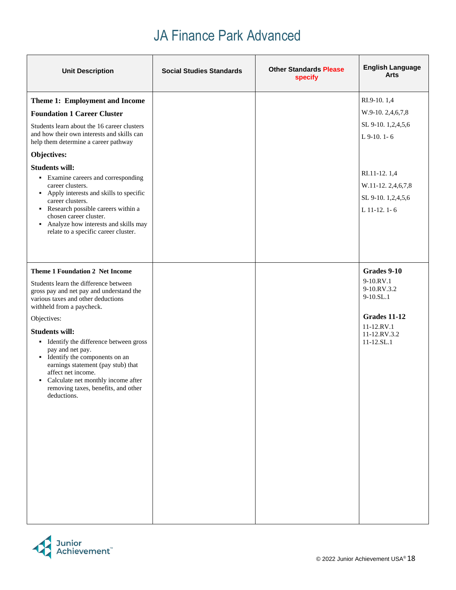| <b>Unit Description</b>                                                                                                                                                                                                                                                           | <b>Social Studies Standards</b> | <b>Other Standards Please</b><br>specify | <b>English Language</b><br>Arts                                         |
|-----------------------------------------------------------------------------------------------------------------------------------------------------------------------------------------------------------------------------------------------------------------------------------|---------------------------------|------------------------------------------|-------------------------------------------------------------------------|
| Theme 1: Employment and Income                                                                                                                                                                                                                                                    |                                 |                                          | RI.9-10.1,4                                                             |
| <b>Foundation 1 Career Cluster</b>                                                                                                                                                                                                                                                |                                 |                                          | W.9-10. 2,4,6,7,8                                                       |
| Students learn about the 16 career clusters<br>and how their own interests and skills can<br>help them determine a career pathway                                                                                                                                                 |                                 |                                          | SL 9-10. 1,2,4,5,6<br>$L$ 9-10. 1-6                                     |
| Objectives:                                                                                                                                                                                                                                                                       |                                 |                                          |                                                                         |
| <b>Students will:</b>                                                                                                                                                                                                                                                             |                                 |                                          |                                                                         |
| • Examine careers and corresponding<br>career clusters.<br>• Apply interests and skills to specific<br>career clusters.<br>Research possible careers within a<br>chosen career cluster.<br>• Analyze how interests and skills may<br>relate to a specific career cluster.         |                                 |                                          | RI.11-12.1,4<br>W.11-12.2,4,6,7,8<br>SL 9-10. 1,2,4,5,6<br>L 11-12. 1-6 |
| <b>Theme 1 Foundation 2 Net Income</b>                                                                                                                                                                                                                                            |                                 |                                          | Grades 9-10                                                             |
| Students learn the difference between<br>gross pay and net pay and understand the<br>various taxes and other deductions<br>withheld from a paycheck.                                                                                                                              |                                 |                                          | 9-10.RV.1<br>9-10.RV.3.2<br>$9-10.SL.1$<br><b>Grades 11-12</b>          |
| Objectives:                                                                                                                                                                                                                                                                       |                                 |                                          | $11-12.RV.1$                                                            |
| <b>Students will:</b><br>• Identify the difference between gross<br>pay and net pay.<br>• Identify the components on an<br>earnings statement (pay stub) that<br>affect net income.<br>• Calculate net monthly income after<br>removing taxes, benefits, and other<br>deductions. |                                 |                                          | 11-12.RV.3.2<br>$11 - 12.5L.1$                                          |

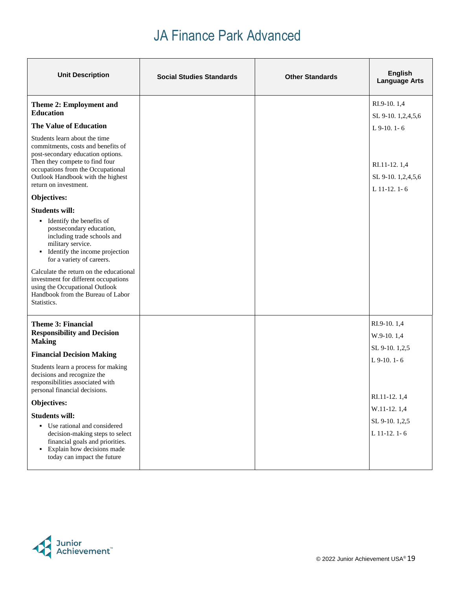| <b>Unit Description</b>                                                                                                                                                                                                                       | <b>Social Studies Standards</b> | <b>Other Standards</b> | <b>English</b><br><b>Language Arts</b>             |
|-----------------------------------------------------------------------------------------------------------------------------------------------------------------------------------------------------------------------------------------------|---------------------------------|------------------------|----------------------------------------------------|
| Theme 2: Employment and<br><b>Education</b>                                                                                                                                                                                                   |                                 |                        | RI.9-10.1,4<br>SL 9-10. 1,2,4,5,6                  |
| <b>The Value of Education</b>                                                                                                                                                                                                                 |                                 |                        | $L$ 9-10. 1-6                                      |
| Students learn about the time<br>commitments, costs and benefits of<br>post-secondary education options.<br>Then they compete to find four<br>occupations from the Occupational<br>Outlook Handbook with the highest<br>return on investment. |                                 |                        | RI.11-12.1,4<br>SL 9-10. 1,2,4,5,6<br>L 11-12. 1-6 |
| Objectives:                                                                                                                                                                                                                                   |                                 |                        |                                                    |
| <b>Students will:</b>                                                                                                                                                                                                                         |                                 |                        |                                                    |
| • Identify the benefits of<br>postsecondary education,<br>including trade schools and<br>military service.<br>• Identify the income projection<br>for a variety of careers.                                                                   |                                 |                        |                                                    |
| Calculate the return on the educational<br>investment for different occupations<br>using the Occupational Outlook<br>Handbook from the Bureau of Labor<br>Statistics.                                                                         |                                 |                        |                                                    |
| <b>Theme 3: Financial</b>                                                                                                                                                                                                                     |                                 |                        | RI.9-10.1,4                                        |
| <b>Responsibility and Decision</b><br><b>Making</b>                                                                                                                                                                                           |                                 |                        | W.9-10.1,4                                         |
| <b>Financial Decision Making</b>                                                                                                                                                                                                              |                                 |                        | SL 9-10. 1,2,5                                     |
| Students learn a process for making<br>decisions and recognize the<br>responsibilities associated with<br>personal financial decisions.                                                                                                       |                                 |                        | L 9-10. 1-6                                        |
| Objectives:                                                                                                                                                                                                                                   |                                 |                        | RI.11-12.1,4                                       |
| <b>Students will:</b>                                                                                                                                                                                                                         |                                 |                        | W.11-12.1,4                                        |
| • Use rational and considered<br>decision-making steps to select<br>financial goals and priorities.<br>• Explain how decisions made<br>today can impact the future                                                                            |                                 |                        | SL 9-10. 1,2,5<br>L 11-12. 1-6                     |

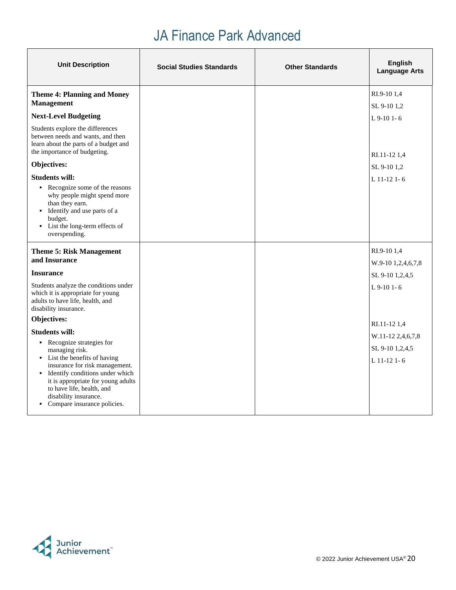| <b>Unit Description</b>                                                                                                                                                                                                                                                                                    | <b>Social Studies Standards</b> | <b>Other Standards</b> | <b>English</b><br><b>Language Arts</b>                |
|------------------------------------------------------------------------------------------------------------------------------------------------------------------------------------------------------------------------------------------------------------------------------------------------------------|---------------------------------|------------------------|-------------------------------------------------------|
| <b>Theme 4: Planning and Money</b><br><b>Management</b>                                                                                                                                                                                                                                                    |                                 |                        | RI.9-10 1.4<br>SL 9-10 1,2                            |
| <b>Next-Level Budgeting</b>                                                                                                                                                                                                                                                                                |                                 |                        | $L$ 9-10 1-6                                          |
| Students explore the differences<br>between needs and wants, and then<br>learn about the parts of a budget and<br>the importance of budgeting.                                                                                                                                                             |                                 |                        | RI.11-12 1,4                                          |
| Objectives:                                                                                                                                                                                                                                                                                                |                                 |                        | SL 9-10 1,2                                           |
| <b>Students will:</b>                                                                                                                                                                                                                                                                                      |                                 |                        | L 11-12 1-6                                           |
| Recognize some of the reasons<br>why people might spend more<br>than they earn.<br>• Identify and use parts of a<br>budget.<br>• List the long-term effects of<br>overspending.                                                                                                                            |                                 |                        |                                                       |
| <b>Theme 5: Risk Management</b><br>and Insurance                                                                                                                                                                                                                                                           |                                 |                        | RI.9-10 1,4                                           |
| <b>Insurance</b>                                                                                                                                                                                                                                                                                           |                                 |                        | W.9-10 1,2,4,6,7,8<br>SL 9-10 1,2,4,5                 |
| Students analyze the conditions under<br>which it is appropriate for young<br>adults to have life, health, and<br>disability insurance.                                                                                                                                                                    |                                 |                        | L 9-10 1-6                                            |
| Objectives:                                                                                                                                                                                                                                                                                                |                                 |                        | RI.11-12 1.4                                          |
| <b>Students will:</b><br>• Recognize strategies for<br>managing risk.<br>• List the benefits of having<br>insurance for risk management.<br>• Identify conditions under which<br>it is appropriate for young adults<br>to have life, health, and<br>disability insurance.<br>• Compare insurance policies. |                                 |                        | W.11-12 2,4,6,7,8<br>SL 9-10 1,2,4,5<br>$L$ 11-12 1-6 |

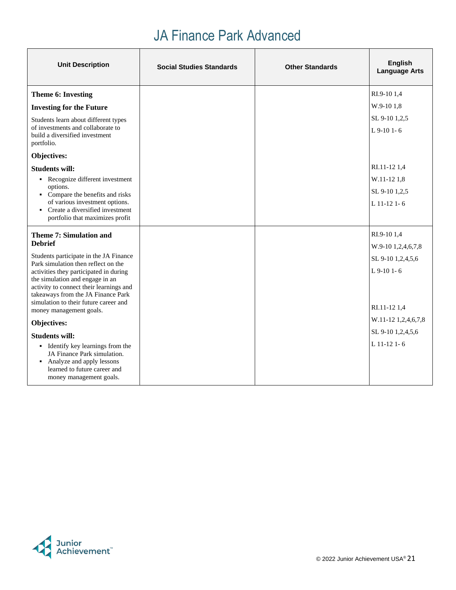| <b>Unit Description</b>                                                                                                   | <b>Social Studies Standards</b> | <b>Other Standards</b> | <b>English</b><br><b>Language Arts</b> |
|---------------------------------------------------------------------------------------------------------------------------|---------------------------------|------------------------|----------------------------------------|
| Theme 6: Investing                                                                                                        |                                 |                        | RI.9-10 1,4                            |
| <b>Investing for the Future</b>                                                                                           |                                 |                        | W.9-10 1.8                             |
| Students learn about different types<br>of investments and collaborate to<br>build a diversified investment<br>portfolio. |                                 |                        | SL 9-10 1.2.5<br>L 9-10 1-6            |
| Objectives:                                                                                                               |                                 |                        |                                        |
| <b>Students will:</b>                                                                                                     |                                 |                        | RI.11-12 1,4                           |
| • Recognize different investment                                                                                          |                                 |                        | W.11-12 1,8                            |
| options.<br>• Compare the benefits and risks                                                                              |                                 |                        | SL 9-10 1,2,5                          |
| of various investment options.<br>• Create a diversified investment                                                       |                                 |                        | L 11-12 1-6                            |
| portfolio that maximizes profit                                                                                           |                                 |                        |                                        |
| <b>Theme 7: Simulation and</b>                                                                                            |                                 |                        | RI.9-10 1,4                            |
| <b>Debrief</b>                                                                                                            |                                 |                        | W.9-10 1,2,4,6,7,8                     |
| Students participate in the JA Finance<br>Park simulation then reflect on the                                             |                                 |                        | SL 9-10 1,2,4,5,6                      |
| activities they participated in during                                                                                    |                                 |                        | $L$ 9-10 1-6                           |
| the simulation and engage in an<br>activity to connect their learnings and                                                |                                 |                        |                                        |
| takeaways from the JA Finance Park<br>simulation to their future career and                                               |                                 |                        |                                        |
| money management goals.                                                                                                   |                                 |                        | RI.11-12 1,4                           |
| Objectives:                                                                                                               |                                 |                        | W.11-12 1,2,4,6,7,8                    |
| <b>Students will:</b>                                                                                                     |                                 |                        | SL 9-10 1,2,4,5,6                      |
| • Identify key learnings from the                                                                                         |                                 |                        | $L$ 11-12 1-6                          |
| JA Finance Park simulation.<br>• Analyze and apply lessons                                                                |                                 |                        |                                        |
| learned to future career and                                                                                              |                                 |                        |                                        |
| money management goals.                                                                                                   |                                 |                        |                                        |

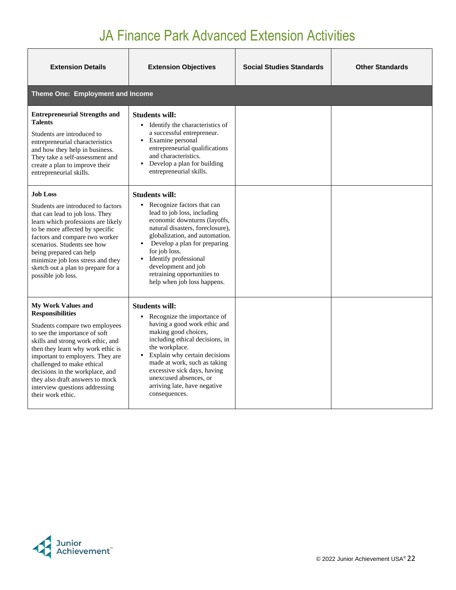| <b>Extension Details</b>                                                                                                                                                                                                                                                                                                                                                                         | <b>Extension Objectives</b>                                                                                                                                                                                                                                                                                                                                                                 | <b>Social Studies Standards</b> | <b>Other Standards</b> |
|--------------------------------------------------------------------------------------------------------------------------------------------------------------------------------------------------------------------------------------------------------------------------------------------------------------------------------------------------------------------------------------------------|---------------------------------------------------------------------------------------------------------------------------------------------------------------------------------------------------------------------------------------------------------------------------------------------------------------------------------------------------------------------------------------------|---------------------------------|------------------------|
| <b>Theme One: Employment and Income</b>                                                                                                                                                                                                                                                                                                                                                          |                                                                                                                                                                                                                                                                                                                                                                                             |                                 |                        |
| <b>Entrepreneurial Strengths and</b><br><b>Talents</b><br>Students are introduced to<br>entrepreneurial characteristics<br>and how they help in business.<br>They take a self-assessment and<br>create a plan to improve their<br>entrepreneurial skills.                                                                                                                                        | <b>Students will:</b><br>• Identify the characteristics of<br>a successful entrepreneur.<br>Examine personal<br>٠<br>entrepreneurial qualifications<br>and characteristics.<br>Develop a plan for building<br>$\blacksquare$<br>entrepreneurial skills.                                                                                                                                     |                                 |                        |
| <b>Job Loss</b><br>Students are introduced to factors<br>that can lead to job loss. They<br>learn which professions are likely<br>to be more affected by specific<br>factors and compare two worker<br>scenarios. Students see how<br>being prepared can help<br>minimize job loss stress and they<br>sketch out a plan to prepare for a<br>possible job loss.                                   | <b>Students will:</b><br>Recognize factors that can<br>$\blacksquare$<br>lead to job loss, including<br>economic downturns (layoffs,<br>natural disasters, foreclosure),<br>globalization, and automation.<br>Develop a plan for preparing<br>$\blacksquare$<br>for job loss.<br>Identify professional<br>development and job<br>retraining opportunities to<br>help when job loss happens. |                                 |                        |
| <b>My Work Values and</b><br><b>Responsibilities</b><br>Students compare two employees<br>to see the importance of soft<br>skills and strong work ethic, and<br>then they learn why work ethic is<br>important to employers. They are<br>challenged to make ethical<br>decisions in the workplace, and<br>they also draft answers to mock<br>interview questions addressing<br>their work ethic. | <b>Students will:</b><br>Recognize the importance of<br>$\blacksquare$<br>having a good work ethic and<br>making good choices,<br>including ethical decisions, in<br>the workplace.<br>Explain why certain decisions<br>made at work, such as taking<br>excessive sick days, having<br>unexcused absences, or<br>arriving late, have negative<br>consequences.                              |                                 |                        |

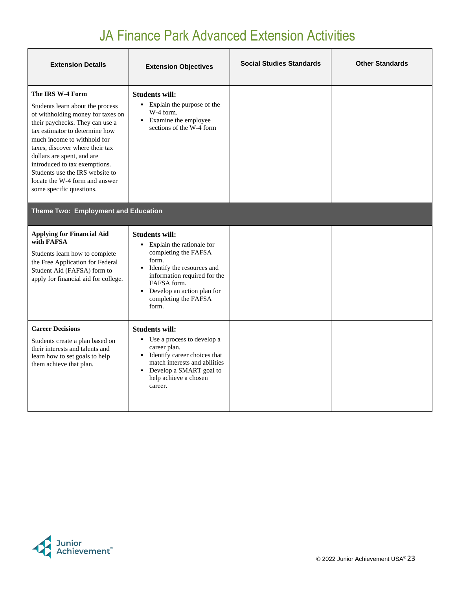| <b>Extension Details</b>                                                                                                                                                                                                                                                                                                                                                                         | <b>Extension Objectives</b>                                                                                                                                                                                                                            | <b>Social Studies Standards</b> | <b>Other Standards</b> |
|--------------------------------------------------------------------------------------------------------------------------------------------------------------------------------------------------------------------------------------------------------------------------------------------------------------------------------------------------------------------------------------------------|--------------------------------------------------------------------------------------------------------------------------------------------------------------------------------------------------------------------------------------------------------|---------------------------------|------------------------|
| The IRS W-4 Form<br>Students learn about the process<br>of withholding money for taxes on<br>their paychecks. They can use a<br>tax estimator to determine how<br>much income to withhold for<br>taxes, discover where their tax<br>dollars are spent, and are<br>introduced to tax exemptions.<br>Students use the IRS website to<br>locate the W-4 form and answer<br>some specific questions. | <b>Students will:</b><br>• Explain the purpose of the<br>W-4 form.<br>• Examine the employee<br>sections of the W-4 form                                                                                                                               |                                 |                        |
| Theme Two: Employment and Education                                                                                                                                                                                                                                                                                                                                                              |                                                                                                                                                                                                                                                        |                                 |                        |
| <b>Applying for Financial Aid</b><br>with FAFSA<br>Students learn how to complete<br>the Free Application for Federal<br>Student Aid (FAFSA) form to<br>apply for financial aid for college.                                                                                                                                                                                                     | <b>Students will:</b><br>• Explain the rationale for<br>completing the FAFSA<br>form.<br>Identify the resources and<br>٠<br>information required for the<br>FAFSA form.<br>Develop an action plan for<br>$\mathbf{r}$<br>completing the FAFSA<br>form. |                                 |                        |
| <b>Career Decisions</b><br>Students create a plan based on<br>their interests and talents and<br>learn how to set goals to help<br>them achieve that plan.                                                                                                                                                                                                                                       | <b>Students will:</b><br>• Use a process to develop a<br>career plan.<br>• Identify career choices that<br>match interests and abilities<br>• Develop a SMART goal to<br>help achieve a chosen<br>career.                                              |                                 |                        |

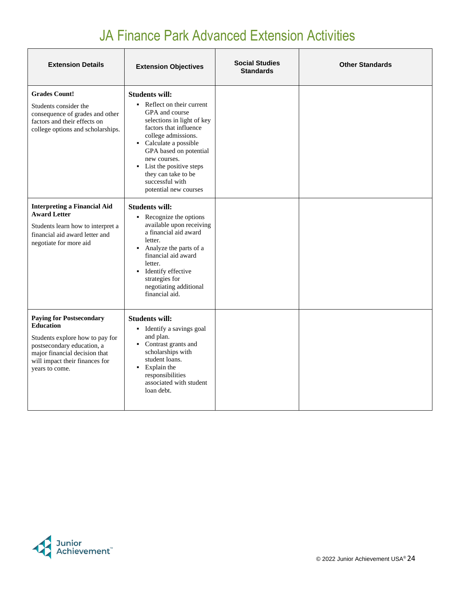| <b>Extension Details</b>                                                                                                                                                                                  | <b>Extension Objectives</b>                                                                                                                                                                                                                                                                                                            | <b>Social Studies</b><br><b>Standards</b> | <b>Other Standards</b> |
|-----------------------------------------------------------------------------------------------------------------------------------------------------------------------------------------------------------|----------------------------------------------------------------------------------------------------------------------------------------------------------------------------------------------------------------------------------------------------------------------------------------------------------------------------------------|-------------------------------------------|------------------------|
| <b>Grades Count!</b><br>Students consider the<br>consequence of grades and other<br>factors and their effects on<br>college options and scholarships.                                                     | <b>Students will:</b><br>• Reflect on their current<br>GPA and course<br>selections in light of key<br>factors that influence<br>college admissions.<br>Calculate a possible<br>$\mathbf{r}$<br>GPA based on potential<br>new courses.<br>• List the positive steps<br>they can take to be<br>successful with<br>potential new courses |                                           |                        |
| <b>Interpreting a Financial Aid</b><br><b>Award Letter</b><br>Students learn how to interpret a<br>financial aid award letter and<br>negotiate for more aid                                               | <b>Students will:</b><br>• Recognize the options<br>available upon receiving<br>a financial aid award<br>letter.<br>Analyze the parts of a<br>٠<br>financial aid award<br>letter.<br>• Identify effective<br>strategies for<br>negotiating additional<br>financial aid.                                                                |                                           |                        |
| <b>Paying for Postsecondary</b><br><b>Education</b><br>Students explore how to pay for<br>postsecondary education, a<br>major financial decision that<br>will impact their finances for<br>years to come. | <b>Students will:</b><br>• Identify a savings goal<br>and plan.<br>• Contrast grants and<br>scholarships with<br>student loans.<br>• Explain the<br>responsibilities<br>associated with student<br>loan debt.                                                                                                                          |                                           |                        |

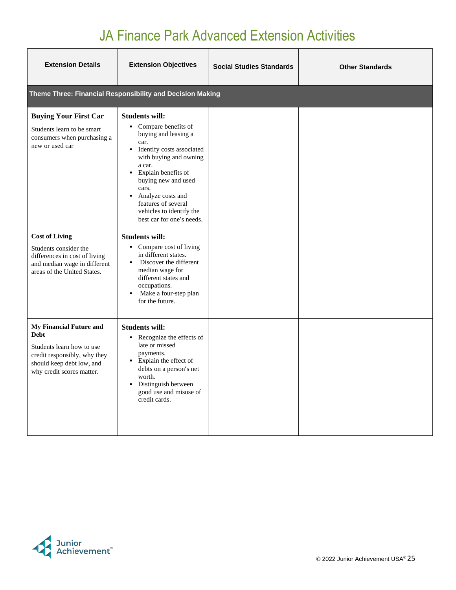| <b>Extension Details</b>                                                                                                                                             | <b>Extension Objectives</b>                                                                                                                                                                                                                                                                                                          | <b>Social Studies Standards</b> | <b>Other Standards</b> |
|----------------------------------------------------------------------------------------------------------------------------------------------------------------------|--------------------------------------------------------------------------------------------------------------------------------------------------------------------------------------------------------------------------------------------------------------------------------------------------------------------------------------|---------------------------------|------------------------|
|                                                                                                                                                                      | Theme Three: Financial Responsibility and Decision Making                                                                                                                                                                                                                                                                            |                                 |                        |
| <b>Buying Your First Car</b><br>Students learn to be smart<br>consumers when purchasing a<br>new or used car                                                         | <b>Students will:</b><br>• Compare benefits of<br>buying and leasing a<br>car.<br>• Identify costs associated<br>with buying and owning<br>a car.<br>Explain benefits of<br>٠<br>buying new and used<br>cars.<br>Analyze costs and<br>$\blacksquare$<br>features of several<br>vehicles to identify the<br>best car for one's needs. |                                 |                        |
| <b>Cost of Living</b><br>Students consider the<br>differences in cost of living<br>and median wage in different<br>areas of the United States.                       | <b>Students will:</b><br>• Compare cost of living<br>in different states.<br>Discover the different<br>٠.<br>median wage for<br>different states and<br>occupations.<br>Make a four-step plan<br>٠<br>for the future.                                                                                                                |                                 |                        |
| <b>My Financial Future and</b><br><b>Debt</b><br>Students learn how to use<br>credit responsibly, why they<br>should keep debt low, and<br>why credit scores matter. | <b>Students will:</b><br>• Recognize the effects of<br>late or missed<br>payments.<br>• Explain the effect of<br>debts on a person's net<br>worth.<br>Distinguish between<br>$\blacksquare$<br>good use and misuse of<br>credit cards.                                                                                               |                                 |                        |

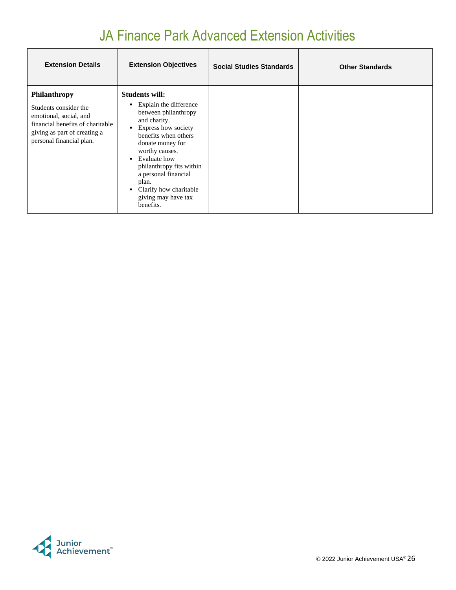| <b>Extension Details</b>                                                                                                                                               | <b>Extension Objectives</b>                                                                                                                                                                                                                                                                                                     | <b>Social Studies Standards</b> | <b>Other Standards</b> |
|------------------------------------------------------------------------------------------------------------------------------------------------------------------------|---------------------------------------------------------------------------------------------------------------------------------------------------------------------------------------------------------------------------------------------------------------------------------------------------------------------------------|---------------------------------|------------------------|
| <b>Philanthropy</b><br>Students consider the<br>emotional, social, and<br>financial benefits of charitable<br>giving as part of creating a<br>personal financial plan. | <b>Students will:</b><br>• Explain the difference<br>between philanthropy<br>and charity.<br>Express how society<br>benefits when others<br>donate money for<br>worthy causes.<br>Evaluate how<br>٠.<br>philanthropy fits within<br>a personal financial<br>plan.<br>Clarify how charitable<br>giving may have tax<br>benefits. |                                 |                        |

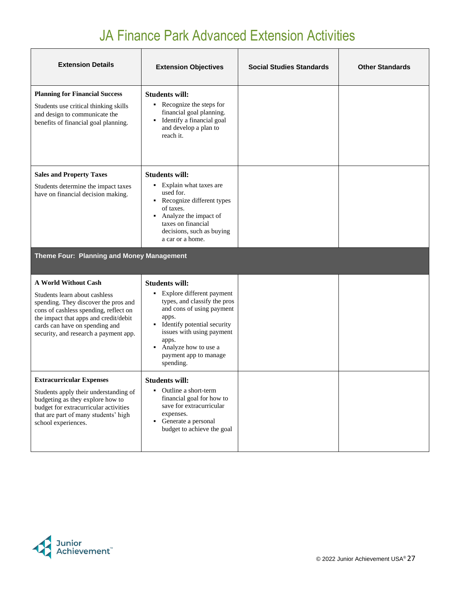| <b>Extension Details</b>                                                                                                                                                                                                                                          | <b>Extension Objectives</b>                                                                                                                                                                                                                                                                          | <b>Social Studies Standards</b> | <b>Other Standards</b> |
|-------------------------------------------------------------------------------------------------------------------------------------------------------------------------------------------------------------------------------------------------------------------|------------------------------------------------------------------------------------------------------------------------------------------------------------------------------------------------------------------------------------------------------------------------------------------------------|---------------------------------|------------------------|
| <b>Planning for Financial Success</b><br>Students use critical thinking skills<br>and design to communicate the<br>benefits of financial goal planning.                                                                                                           | <b>Students will:</b><br>• Recognize the steps for<br>financial goal planning.<br>Identify a financial goal<br>$\blacksquare$<br>and develop a plan to<br>reach it.                                                                                                                                  |                                 |                        |
| <b>Sales and Property Taxes</b><br>Students determine the impact taxes<br>have on financial decision making.                                                                                                                                                      | <b>Students will:</b><br>• Explain what taxes are<br>used for.<br>• Recognize different types<br>of taxes.<br>Analyze the impact of<br>$\blacksquare$<br>taxes on financial<br>decisions, such as buying<br>a car or a home.                                                                         |                                 |                        |
| Theme Four: Planning and Money Management                                                                                                                                                                                                                         |                                                                                                                                                                                                                                                                                                      |                                 |                        |
| <b>A World Without Cash</b><br>Students learn about cashless<br>spending. They discover the pros and<br>cons of cashless spending, reflect on<br>the impact that apps and credit/debit<br>cards can have on spending and<br>security, and research a payment app. | <b>Students will:</b><br>Explore different payment<br>٠<br>types, and classify the pros<br>and cons of using payment<br>apps.<br>Identify potential security<br>$\blacksquare$<br>issues with using payment<br>apps.<br>Analyze how to use a<br>$\blacksquare$<br>payment app to manage<br>spending. |                                 |                        |
| <b>Extracurricular Expenses</b><br>Students apply their understanding of<br>budgeting as they explore how to<br>budget for extracurricular activities<br>that are part of many students' high<br>school experiences.                                              | <b>Students will:</b><br>Outline a short-term<br>٠<br>financial goal for how to<br>save for extracurricular<br>expenses.<br>• Generate a personal<br>budget to achieve the goal                                                                                                                      |                                 |                        |

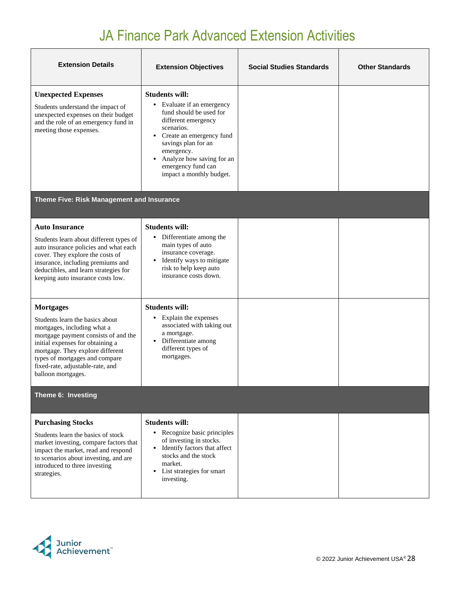| <b>Extension Details</b>                                                                                                                                                                                                                                                   | <b>Extension Objectives</b>                                                                                                                                                                                                                                                                             | <b>Social Studies Standards</b> | <b>Other Standards</b> |  |  |
|----------------------------------------------------------------------------------------------------------------------------------------------------------------------------------------------------------------------------------------------------------------------------|---------------------------------------------------------------------------------------------------------------------------------------------------------------------------------------------------------------------------------------------------------------------------------------------------------|---------------------------------|------------------------|--|--|
| <b>Unexpected Expenses</b><br>Students understand the impact of<br>unexpected expenses on their budget<br>and the role of an emergency fund in<br>meeting those expenses.                                                                                                  | <b>Students will:</b><br>• Evaluate if an emergency<br>fund should be used for<br>different emergency<br>scenarios.<br>Create an emergency fund<br>$\blacksquare$<br>savings plan for an<br>emergency.<br>Analyze how saving for an<br>$\blacksquare$<br>emergency fund can<br>impact a monthly budget. |                                 |                        |  |  |
| Theme Five: Risk Management and Insurance                                                                                                                                                                                                                                  |                                                                                                                                                                                                                                                                                                         |                                 |                        |  |  |
| <b>Auto Insurance</b><br>Students learn about different types of<br>auto insurance policies and what each<br>cover. They explore the costs of                                                                                                                              | <b>Students will:</b><br>• Differentiate among the<br>main types of auto<br>insurance coverage.                                                                                                                                                                                                         |                                 |                        |  |  |
| insurance, including premiums and<br>deductibles, and learn strategies for<br>keeping auto insurance costs low.                                                                                                                                                            | Identify ways to mitigate<br>$\blacksquare$<br>risk to help keep auto<br>insurance costs down.                                                                                                                                                                                                          |                                 |                        |  |  |
| <b>Mortgages</b>                                                                                                                                                                                                                                                           | <b>Students will:</b>                                                                                                                                                                                                                                                                                   |                                 |                        |  |  |
| Students learn the basics about<br>mortgages, including what a<br>mortgage payment consists of and the<br>initial expenses for obtaining a<br>mortgage. They explore different<br>types of mortgages and compare<br>fixed-rate, adjustable-rate, and<br>balloon mortgages. | Explain the expenses<br>٠<br>associated with taking out<br>a mortgage.<br>Differentiate among<br>$\blacksquare$<br>different types of<br>mortgages.                                                                                                                                                     |                                 |                        |  |  |
| Theme 6: Investing                                                                                                                                                                                                                                                         |                                                                                                                                                                                                                                                                                                         |                                 |                        |  |  |
| <b>Purchasing Stocks</b>                                                                                                                                                                                                                                                   | <b>Students will:</b>                                                                                                                                                                                                                                                                                   |                                 |                        |  |  |
| Students learn the basics of stock<br>market investing, compare factors that<br>impact the market, read and respond<br>to scenarios about investing, and are<br>introduced to three investing<br>strategies.                                                               | • Recognize basic principles<br>of investing in stocks.<br>Identify factors that affect<br>$\blacksquare$<br>stocks and the stock<br>market.<br>List strategies for smart<br>$\blacksquare$<br>investing.                                                                                               |                                 |                        |  |  |